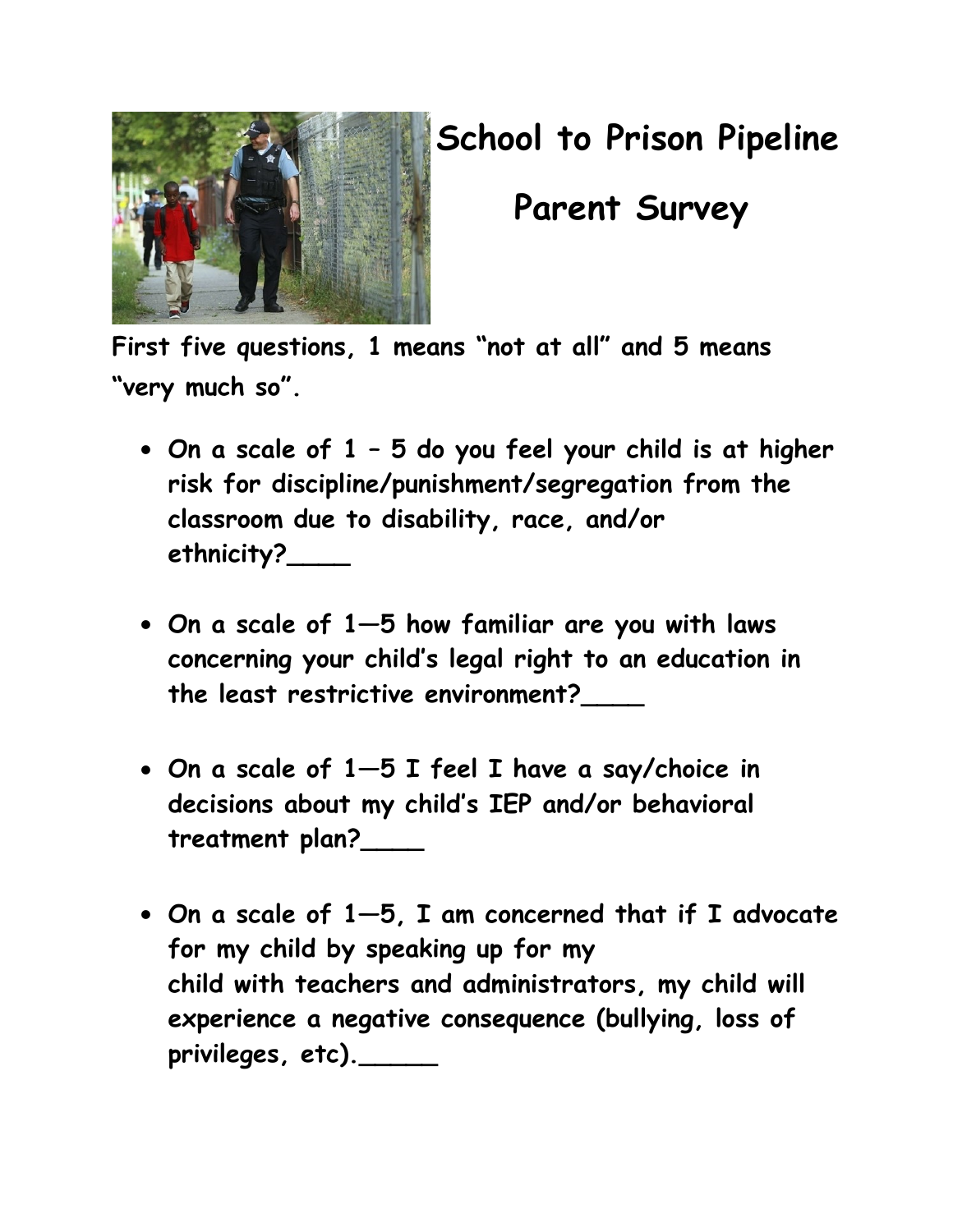

## **School to Prison Pipeline**

 **Parent Survey**

**First five questions, 1 means "not at all" and 5 means "very much so".**

- **On a scale of 1 – 5 do you feel your child is at higher risk for discipline/punishment/segregation from the classroom due to disability, race, and/or ethnicity?\_\_\_\_**
- **On a scale of 1—5 how familiar are you with laws concerning your child's legal right to an education in the least restrictive environment?\_\_\_\_**
- **On a scale of 1—5 I feel I have a say/choice in decisions about my child's IEP and/or behavioral treatment plan?\_\_\_\_**
- **On a scale of 1—5, I am concerned that if I advocate for my child by speaking up for my child with teachers and administrators, my child will experience a negative consequence (bullying, loss of privileges, etc).\_\_\_\_\_**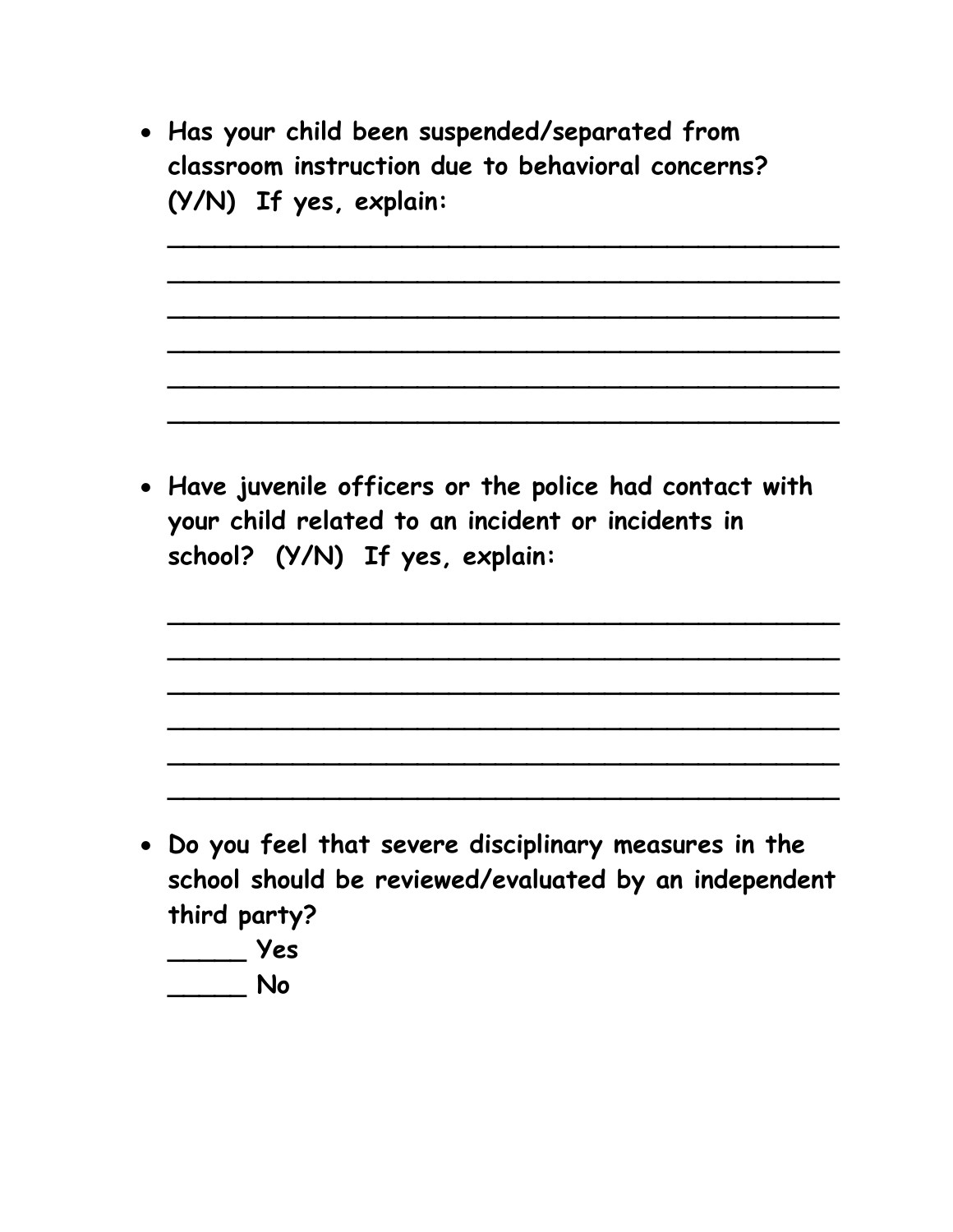• **Has your child been suspended/separated from classroom instruction due to behavioral concerns? (Y/N) If yes, explain:** 

**\_\_\_\_\_\_\_\_\_\_\_\_\_\_\_\_\_\_\_\_\_\_\_\_\_\_\_\_\_\_\_\_\_\_\_\_\_\_\_\_\_\_\_**

**\_\_\_\_\_\_\_\_\_\_\_\_\_\_\_\_\_\_\_\_\_\_\_\_\_\_\_\_\_\_\_\_\_\_\_\_\_\_\_\_\_\_\_**

**\_\_\_\_\_\_\_\_\_\_\_\_\_\_\_\_\_\_\_\_\_\_\_\_\_\_\_\_\_\_\_\_\_\_\_\_\_\_\_\_\_\_\_**

**\_\_\_\_\_\_\_\_\_\_\_\_\_\_\_\_\_\_\_\_\_\_\_\_\_\_\_\_\_\_\_\_\_\_\_\_\_\_\_\_\_\_\_**

**\_\_\_\_\_\_\_\_\_\_\_\_\_\_\_\_\_\_\_\_\_\_\_\_\_\_\_\_\_\_\_\_\_\_\_\_\_\_\_\_\_\_\_**

**\_\_\_\_\_\_\_\_\_\_\_\_\_\_\_\_\_\_\_\_\_\_\_\_\_\_\_\_\_\_\_\_\_\_\_\_\_\_\_\_\_\_\_**

**\_\_\_\_\_\_\_\_\_\_\_\_\_\_\_\_\_\_\_\_\_\_\_\_\_\_\_\_\_\_\_\_\_\_\_\_\_\_\_\_\_\_\_**

**\_\_\_\_\_\_\_\_\_\_\_\_\_\_\_\_\_\_\_\_\_\_\_\_\_\_\_\_\_\_\_\_\_\_\_\_\_\_\_\_\_\_\_**

**\_\_\_\_\_\_\_\_\_\_\_\_\_\_\_\_\_\_\_\_\_\_\_\_\_\_\_\_\_\_\_\_\_\_\_\_\_\_\_\_\_\_\_**

**\_\_\_\_\_\_\_\_\_\_\_\_\_\_\_\_\_\_\_\_\_\_\_\_\_\_\_\_\_\_\_\_\_\_\_\_\_\_\_\_\_\_\_**

**\_\_\_\_\_\_\_\_\_\_\_\_\_\_\_\_\_\_\_\_\_\_\_\_\_\_\_\_\_\_\_\_\_\_\_\_\_\_\_\_\_\_\_**

**\_\_\_\_\_\_\_\_\_\_\_\_\_\_\_\_\_\_\_\_\_\_\_\_\_\_\_\_\_\_\_\_\_\_\_\_\_\_\_\_\_\_\_**

• **Have juvenile officers or the police had contact with your child related to an incident or incidents in school? (Y/N) If yes, explain:**

- **Do you feel that severe disciplinary measures in the school should be reviewed/evaluated by an independent third party?**
	- **\_\_\_\_\_ Yes**
	- **\_\_\_\_\_ No**